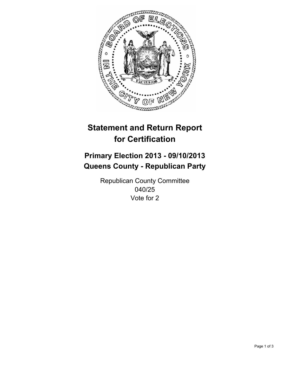

# **Statement and Return Report for Certification**

## **Primary Election 2013 - 09/10/2013 Queens County - Republican Party**

Republican County Committee 040/25 Vote for 2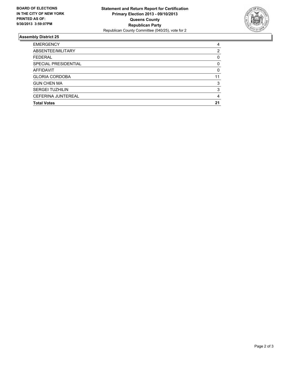

### **Assembly District 25**

| 4        |
|----------|
| 2        |
| 0        |
| $\Omega$ |
| 0        |
| 11       |
| 3        |
| 3        |
| 4        |
| 21       |
|          |